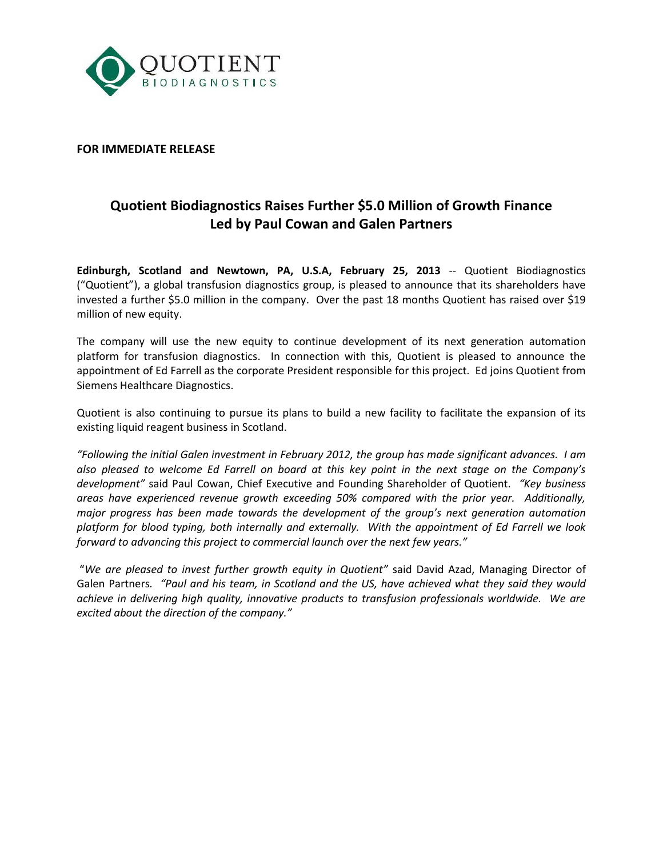

# **FOR IMMEDIATE RELEASE**

# **Quotient Biodiagnostics Raises Further \$5.0 Million of Growth Finance Led by Paul Cowan and Galen Partners**

**Edinburgh, Scotland and Newtown, PA, U.S.A, February 25, 2013** -- Quotient Biodiagnostics ("Quotient"), a global transfusion diagnostics group, is pleased to announce that its shareholders have invested a further \$5.0 million in the company. Over the past 18 months Quotient has raised over \$19 million of new equity.

The company will use the new equity to continue development of its next generation automation platform for transfusion diagnostics. In connection with this, Quotient is pleased to announce the appointment of Ed Farrell as the corporate President responsible for this project. Ed joins Quotient from Siemens Healthcare Diagnostics.

Quotient is also continuing to pursue its plans to build a new facility to facilitate the expansion of its existing liquid reagent business in Scotland.

*"Following the initial Galen investment in February 2012, the group has made significant advances. I am also pleased to welcome Ed Farrell on board at this key point in the next stage on the Company's development"* said Paul Cowan, Chief Executive and Founding Shareholder of Quotient. *"Key business areas have experienced revenue growth exceeding 50% compared with the prior year. Additionally, major progress has been made towards the development of the group's next generation automation platform for blood typing, both internally and externally. With the appointment of Ed Farrell we look forward to advancing this project to commercial launch over the next few years."*

"*We are pleased to invest further growth equity in Quotient"* said David Azad, Managing Director of Galen Partners*. "Paul and his team, in Scotland and the US, have achieved what they said they would achieve in delivering high quality, innovative products to transfusion professionals worldwide. We are excited about the direction of the company."*